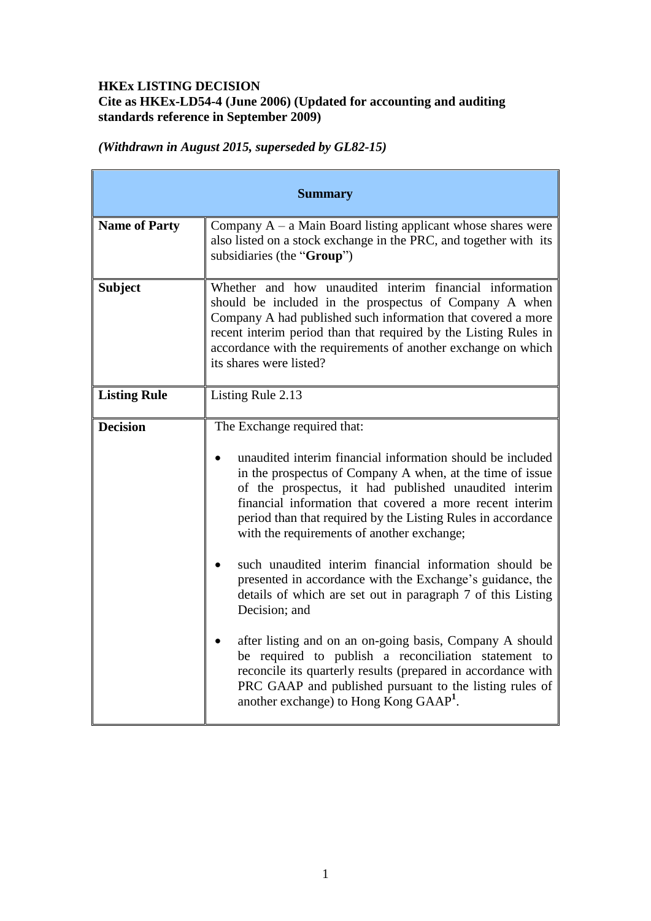# **HKEx LISTING DECISION Cite as HKEx-LD54-4 (June 2006) (Updated for accounting and auditing standards reference in September 2009)**

*(Withdrawn in August 2015, superseded by GL82-15)*

| <b>Summary</b>       |                                                                                                                                                                                                                                                                                                                                                                                                                                                                                                                                                                                                                                                                                                                                                                                                                                                                                                       |
|----------------------|-------------------------------------------------------------------------------------------------------------------------------------------------------------------------------------------------------------------------------------------------------------------------------------------------------------------------------------------------------------------------------------------------------------------------------------------------------------------------------------------------------------------------------------------------------------------------------------------------------------------------------------------------------------------------------------------------------------------------------------------------------------------------------------------------------------------------------------------------------------------------------------------------------|
| <b>Name of Party</b> | Company $A - a$ Main Board listing applicant whose shares were<br>also listed on a stock exchange in the PRC, and together with its<br>subsidiaries (the "Group")                                                                                                                                                                                                                                                                                                                                                                                                                                                                                                                                                                                                                                                                                                                                     |
| <b>Subject</b>       | Whether and how unaudited interim financial information<br>should be included in the prospectus of Company A when<br>Company A had published such information that covered a more<br>recent interim period than that required by the Listing Rules in<br>accordance with the requirements of another exchange on which<br>its shares were listed?                                                                                                                                                                                                                                                                                                                                                                                                                                                                                                                                                     |
| <b>Listing Rule</b>  | Listing Rule 2.13                                                                                                                                                                                                                                                                                                                                                                                                                                                                                                                                                                                                                                                                                                                                                                                                                                                                                     |
| <b>Decision</b>      | The Exchange required that:<br>unaudited interim financial information should be included<br>in the prospectus of Company A when, at the time of issue<br>of the prospectus, it had published unaudited interim<br>financial information that covered a more recent interim<br>period than that required by the Listing Rules in accordance<br>with the requirements of another exchange;<br>such unaudited interim financial information should be<br>presented in accordance with the Exchange's guidance, the<br>details of which are set out in paragraph 7 of this Listing<br>Decision; and<br>after listing and on an on-going basis, Company A should<br>be required to publish a reconciliation statement to<br>reconcile its quarterly results (prepared in accordance with<br>PRC GAAP and published pursuant to the listing rules of<br>another exchange) to Hong Kong GAAP <sup>1</sup> . |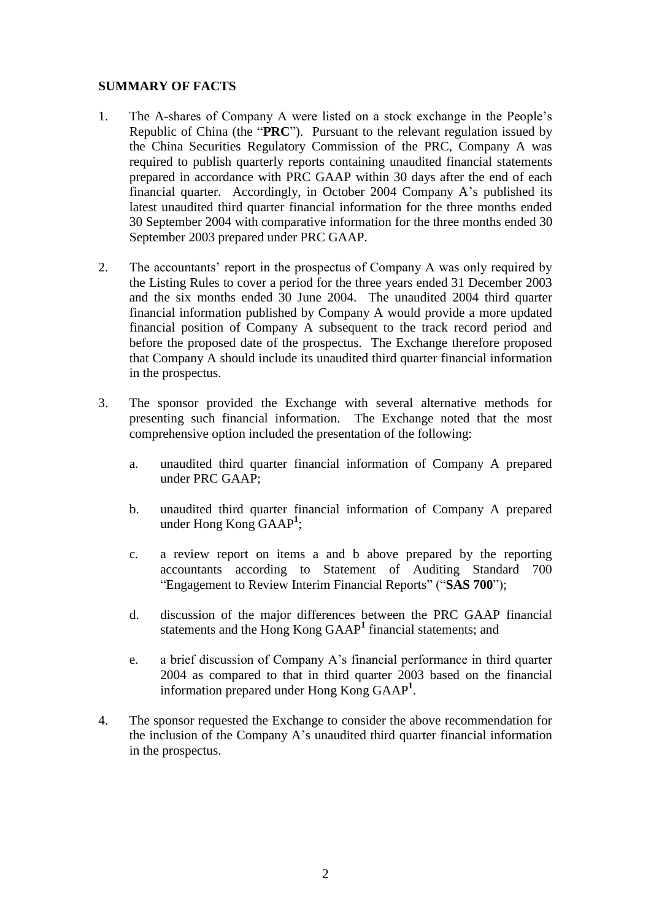### **SUMMARY OF FACTS**

- 1. The A-shares of Company A were listed on a stock exchange in the People's Republic of China (the "**PRC**"). Pursuant to the relevant regulation issued by the China Securities Regulatory Commission of the PRC, Company A was required to publish quarterly reports containing unaudited financial statements prepared in accordance with PRC GAAP within 30 days after the end of each financial quarter. Accordingly, in October 2004 Company A's published its latest unaudited third quarter financial information for the three months ended 30 September 2004 with comparative information for the three months ended 30 September 2003 prepared under PRC GAAP.
- 2. The accountants' report in the prospectus of Company A was only required by the Listing Rules to cover a period for the three years ended 31 December 2003 and the six months ended 30 June 2004. The unaudited 2004 third quarter financial information published by Company A would provide a more updated financial position of Company A subsequent to the track record period and before the proposed date of the prospectus. The Exchange therefore proposed that Company A should include its unaudited third quarter financial information in the prospectus.
- 3. The sponsor provided the Exchange with several alternative methods for presenting such financial information. The Exchange noted that the most comprehensive option included the presentation of the following:
	- a. unaudited third quarter financial information of Company A prepared under PRC GAAP;
	- b. unaudited third quarter financial information of Company A prepared under Hong Kong GAAP**<sup>1</sup>** ;
	- c. a review report on items a and b above prepared by the reporting accountants according to Statement of Auditing Standard 700 "Engagement to Review Interim Financial Reports" ("**SAS 700**");
	- d. discussion of the major differences between the PRC GAAP financial statements and the Hong Kong GAAP**<sup>1</sup>** financial statements; and
	- e. a brief discussion of Company A's financial performance in third quarter 2004 as compared to that in third quarter 2003 based on the financial information prepared under Hong Kong GAAP**<sup>1</sup>** .
- 4. The sponsor requested the Exchange to consider the above recommendation for the inclusion of the Company A's unaudited third quarter financial information in the prospectus.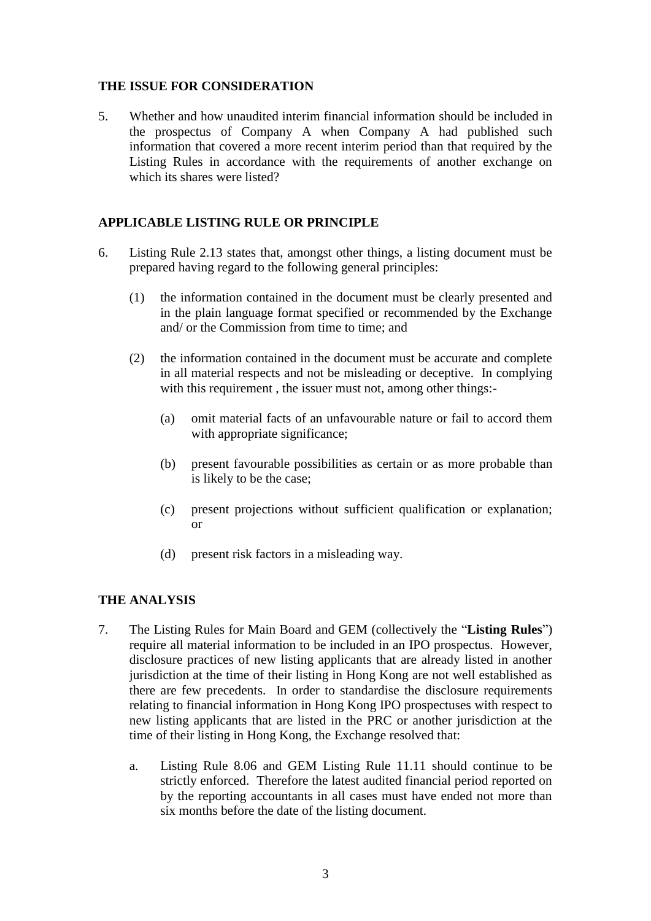### **THE ISSUE FOR CONSIDERATION**

5. Whether and how unaudited interim financial information should be included in the prospectus of Company A when Company A had published such information that covered a more recent interim period than that required by the Listing Rules in accordance with the requirements of another exchange on which its shares were listed?

## **APPLICABLE LISTING RULE OR PRINCIPLE**

- 6. Listing Rule 2.13 states that, amongst other things, a listing document must be prepared having regard to the following general principles:
	- (1) the information contained in the document must be clearly presented and in the plain language format specified or recommended by the Exchange and/ or the Commission from time to time; and
	- (2) the information contained in the document must be accurate and complete in all material respects and not be misleading or deceptive. In complying with this requirement , the issuer must not, among other things:-
		- (a) omit material facts of an unfavourable nature or fail to accord them with appropriate significance;
		- (b) present favourable possibilities as certain or as more probable than is likely to be the case;
		- (c) present projections without sufficient qualification or explanation; or
		- (d) present risk factors in a misleading way.

## **THE ANALYSIS**

- 7. The Listing Rules for Main Board and GEM (collectively the "**Listing Rules**") require all material information to be included in an IPO prospectus. However, disclosure practices of new listing applicants that are already listed in another jurisdiction at the time of their listing in Hong Kong are not well established as there are few precedents. In order to standardise the disclosure requirements relating to financial information in Hong Kong IPO prospectuses with respect to new listing applicants that are listed in the PRC or another jurisdiction at the time of their listing in Hong Kong, the Exchange resolved that:
	- a. Listing Rule 8.06 and GEM Listing Rule 11.11 should continue to be strictly enforced. Therefore the latest audited financial period reported on by the reporting accountants in all cases must have ended not more than six months before the date of the listing document.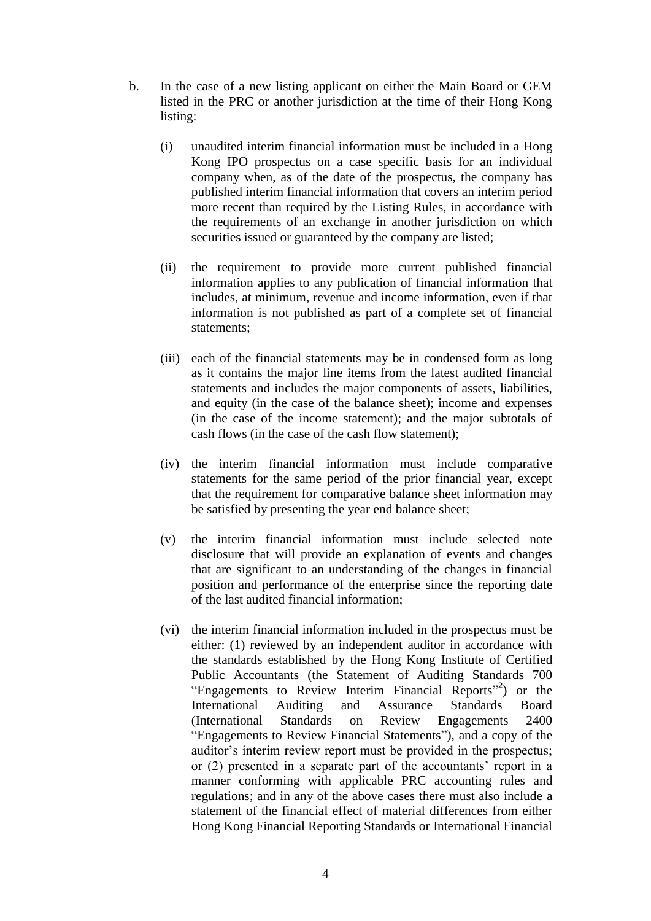- b. In the case of a new listing applicant on either the Main Board or GEM listed in the PRC or another jurisdiction at the time of their Hong Kong listing:
	- (i) unaudited interim financial information must be included in a Hong Kong IPO prospectus on a case specific basis for an individual company when, as of the date of the prospectus, the company has published interim financial information that covers an interim period more recent than required by the Listing Rules, in accordance with the requirements of an exchange in another jurisdiction on which securities issued or guaranteed by the company are listed;
	- (ii) the requirement to provide more current published financial information applies to any publication of financial information that includes, at minimum, revenue and income information, even if that information is not published as part of a complete set of financial statements;
	- (iii) each of the financial statements may be in condensed form as long as it contains the major line items from the latest audited financial statements and includes the major components of assets, liabilities, and equity (in the case of the balance sheet); income and expenses (in the case of the income statement); and the major subtotals of cash flows (in the case of the cash flow statement);
	- (iv) the interim financial information must include comparative statements for the same period of the prior financial year, except that the requirement for comparative balance sheet information may be satisfied by presenting the year end balance sheet;
	- (v) the interim financial information must include selected note disclosure that will provide an explanation of events and changes that are significant to an understanding of the changes in financial position and performance of the enterprise since the reporting date of the last audited financial information;
	- (vi) the interim financial information included in the prospectus must be either: (1) reviewed by an independent auditor in accordance with the standards established by the Hong Kong Institute of Certified Public Accountants (the Statement of Auditing Standards 700 "Engagements to Review Interim Financial Reports" **2** ) or the International Auditing and Assurance Standards Board (International Standards on Review Engagements 2400 "Engagements to Review Financial Statements"), and a copy of the auditor's interim review report must be provided in the prospectus; or (2) presented in a separate part of the accountants' report in a manner conforming with applicable PRC accounting rules and regulations; and in any of the above cases there must also include a statement of the financial effect of material differences from either Hong Kong Financial Reporting Standards or International Financial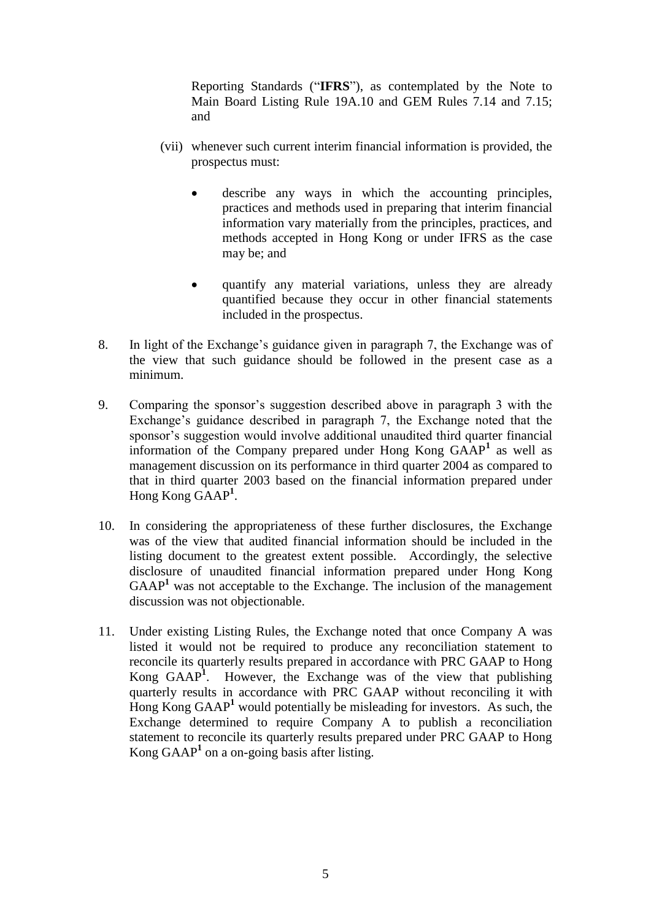Reporting Standards ("**IFRS**"), as contemplated by the Note to Main Board Listing Rule 19A.10 and GEM Rules 7.14 and 7.15; and

- (vii) whenever such current interim financial information is provided, the prospectus must:
	- describe any ways in which the accounting principles, practices and methods used in preparing that interim financial information vary materially from the principles, practices, and methods accepted in Hong Kong or under IFRS as the case may be; and
	- quantify any material variations, unless they are already quantified because they occur in other financial statements included in the prospectus.
- 8. In light of the Exchange's guidance given in paragraph 7, the Exchange was of the view that such guidance should be followed in the present case as a minimum.
- 9. Comparing the sponsor's suggestion described above in paragraph 3 with the Exchange's guidance described in paragraph 7, the Exchange noted that the sponsor's suggestion would involve additional unaudited third quarter financial information of the Company prepared under Hong Kong GAAP**<sup>1</sup>** as well as management discussion on its performance in third quarter 2004 as compared to that in third quarter 2003 based on the financial information prepared under Hong Kong GAAP**<sup>1</sup>** .
- 10. In considering the appropriateness of these further disclosures, the Exchange was of the view that audited financial information should be included in the listing document to the greatest extent possible. Accordingly, the selective disclosure of unaudited financial information prepared under Hong Kong  $GAAP<sup>1</sup>$  was not acceptable to the Exchange. The inclusion of the management discussion was not objectionable.
- 11. Under existing Listing Rules, the Exchange noted that once Company A was listed it would not be required to produce any reconciliation statement to reconcile its quarterly results prepared in accordance with PRC GAAP to Hong Kong GAAP**<sup>1</sup>** . However, the Exchange was of the view that publishing quarterly results in accordance with PRC GAAP without reconciling it with Hong Kong GAAP**<sup>1</sup>** would potentially be misleading for investors. As such, the Exchange determined to require Company A to publish a reconciliation statement to reconcile its quarterly results prepared under PRC GAAP to Hong Kong GAAP**<sup>1</sup>** on a on-going basis after listing.